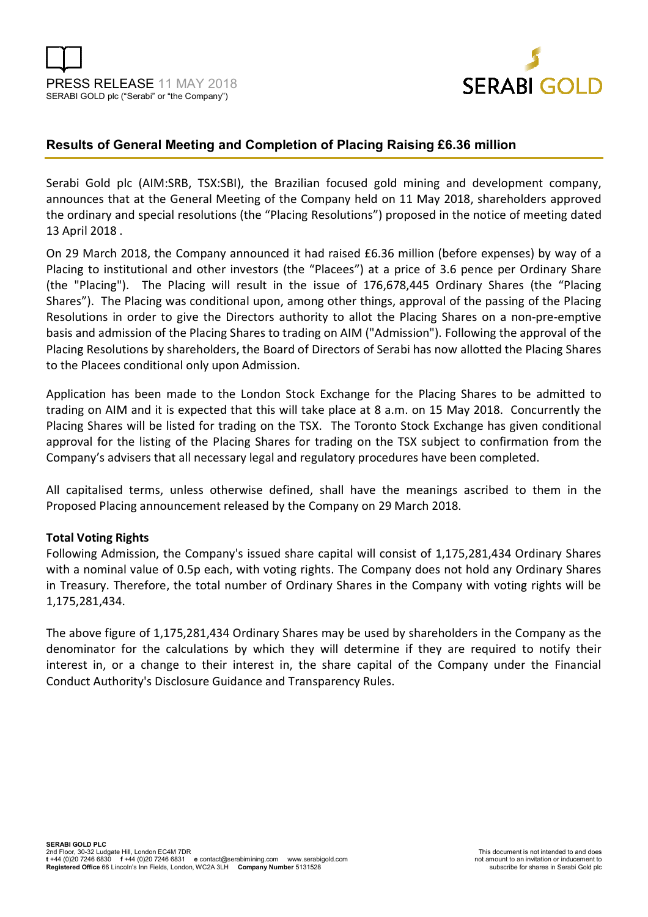



## **Results of General Meeting and Completion of Placing Raising £6.36 million**

Serabi Gold plc (AIM:SRB, TSX:SBI), the Brazilian focused gold mining and development company, announces that at the General Meeting of the Company held on 11 May 2018, shareholders approved the ordinary and special resolutions (the "Placing Resolutions") proposed in the notice of meeting dated 13 April 2018 .

On 29 March 2018, the Company announced it had raised £6.36 million (before expenses) by way of a Placing to institutional and other investors (the "Placees") at a price of 3.6 pence per Ordinary Share (the "Placing"). The Placing will result in the issue of 176,678,445 Ordinary Shares (the "Placing Shares"). The Placing was conditional upon, among other things, approval of the passing of the Placing Resolutions in order to give the Directors authority to allot the Placing Shares on a non-pre-emptive basis and admission of the Placing Shares to trading on AIM ("Admission"). Following the approval of the Placing Resolutions by shareholders, the Board of Directors of Serabi has now allotted the Placing Shares to the Placees conditional only upon Admission.

Application has been made to the London Stock Exchange for the Placing Shares to be admitted to trading on AIM and it is expected that this will take place at 8 a.m. on 15 May 2018. Concurrently the Placing Shares will be listed for trading on the TSX. The Toronto Stock Exchange has given conditional approval for the listing of the Placing Shares for trading on the TSX subject to confirmation from the Company's advisers that all necessary legal and regulatory procedures have been completed.

All capitalised terms, unless otherwise defined, shall have the meanings ascribed to them in the Proposed Placing announcement released by the Company on 29 March 2018.

### **Total Voting Rights**

Following Admission, the Company's issued share capital will consist of 1,175,281,434 Ordinary Shares with a nominal value of 0.5p each, with voting rights. The Company does not hold any Ordinary Shares in Treasury. Therefore, the total number of Ordinary Shares in the Company with voting rights will be 1,175,281,434.

The above figure of 1,175,281,434 Ordinary Shares may be used by shareholders in the Company as the denominator for the calculations by which they will determine if they are required to notify their interest in, or a change to their interest in, the share capital of the Company under the Financial Conduct Authority's Disclosure Guidance and Transparency Rules.